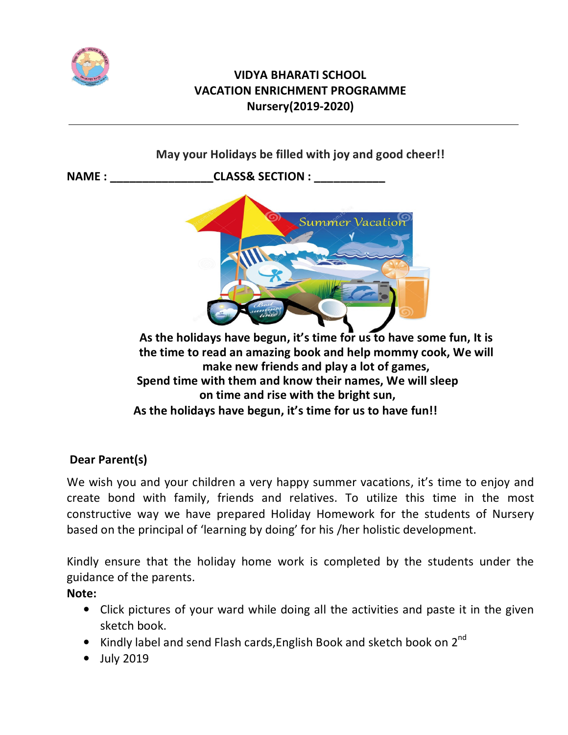

# **VIDYA BHARATI SCHOOL VACATION ENRICHMENT PROGRAMME Nursery(2019-2020)**



# **Dear Parent(s)**

We wish you and your children a very happy summer vacations, it's time to enjoy and create bond with family, friends and relatives. To utilize this time in the most constructive way we have prepared Holiday Homework for the students of Nursery based on the principal of 'learning by doing' for his /her holistic development.

Kindly ensure that the holiday home work is completed by the students under the guidance of the parents.

### **Note:**

- Click pictures of your ward while doing all the activities and paste it in the given sketch book.
- Kindly label and send Flash cards, English Book and sketch book on  $2^{nd}$
- July 2019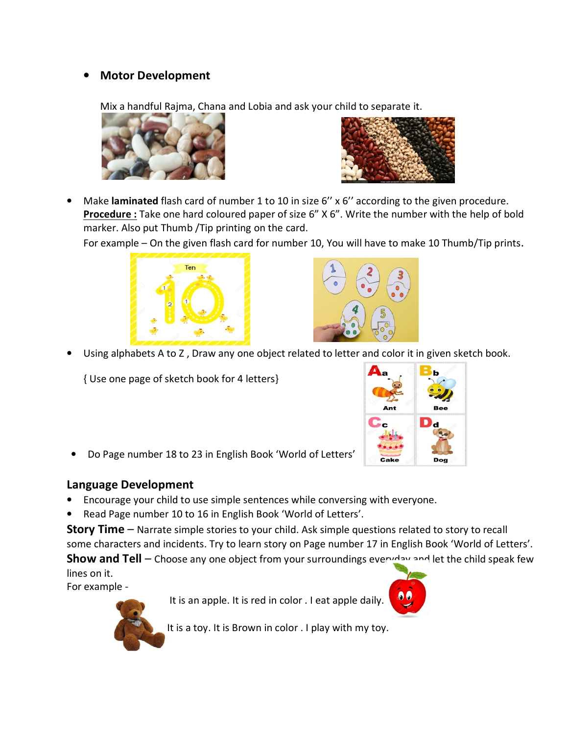## • **Motor Development**

Mix a handful Rajma, Chana and Lobia and ask your child to separate it.





• Make **laminated** flash card of number 1 to 10 in size 6'' x 6'' according to the given procedure. **Procedure :** Take one hard coloured paper of size 6" X 6". Write the number with the help of bold marker. Also put Thumb /Tip printing on the card.

For example – On the given flash card for number 10, You will have to make 10 Thumb/Tip prints.





• Using alphabets A to Z , Draw any one object related to letter and color it in given sketch book.

{ Use one page of sketch book for 4 letters}



• Do Page number 18 to 23 in English Book 'World of Letters'

#### **Language Development**

- Encourage your child to use simple sentences while conversing with everyone.
- Read Page number 10 to 16 in English Book 'World of Letters'.

**Story Time** – Narrate simple stories to your child. Ask simple questions related to story to recall some characters and incidents. Try to learn story on Page number 17 in English Book 'World of Letters'. **Show and Tell** – Choose any one object from your surroundings everyday and let the child speak few lines on it.

For example -

It is an apple. It is red in color . I eat apple daily.





It is a toy. It is Brown in color . I play with my toy.